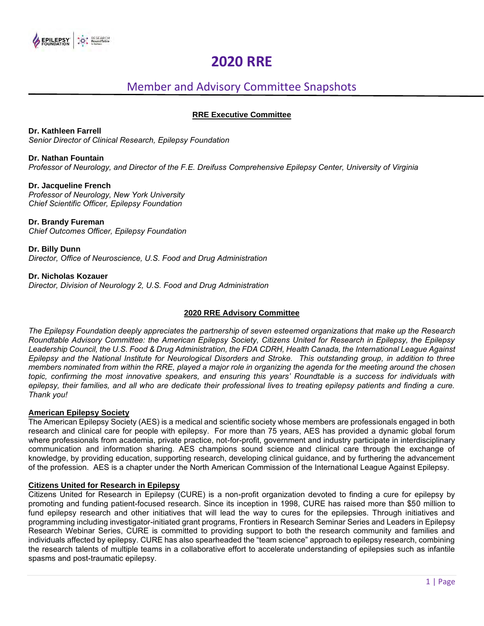# **2020 RRE**

# Member and Advisory Committee Snapshots

# **RRE Executive Committee**

**Dr. Kathleen Farrell**

*Senior Director of Clinical Research, Epilepsy Foundation*

# **Dr. Nathan Fountain**

*Professor of Neurology, and Director of the F.E. Dreifuss Comprehensive Epilepsy Center, University of Virginia*

#### **Dr. Jacqueline French** *Professor of Neurology, New York University Chief Scientific Officer, Epilepsy Foundation*

**Dr. Brandy Fureman** *Chief Outcomes Officer, Epilepsy Foundation*

**Dr. Billy Dunn** *Director, Office of Neuroscience, U.S. Food and Drug Administration* 

**Dr. Nicholas Kozauer** *Director, Division of Neurology 2, U.S. Food and Drug Administration* 

# **2020 RRE Advisory Committee**

*The Epilepsy Foundation deeply appreciates the partnership of seven esteemed organizations that make up the Research Roundtable Advisory Committee: the American Epilepsy Society, Citizens United for Research in Epilepsy, the Epilepsy Leadership Council, the U.S. Food & Drug Administration, the FDA CDRH, Health Canada, the International League Against Epilepsy and the National Institute for Neurological Disorders and Stroke. This outstanding group, in addition to three members nominated from within the RRE, played a major role in organizing the agenda for the meeting around the chosen topic, confirming the most innovative speakers, and ensuring this years' Roundtable is a success for individuals with epilepsy, their families, and all who are dedicate their professional lives to treating epilepsy patients and finding a cure. Thank you!*

# **American Epilepsy Society**

The American Epilepsy Society (AES) is a medical and scientific society whose members are professionals engaged in both research and clinical care for people with epilepsy. For more than 75 years, AES has provided a dynamic global forum where professionals from academia, private practice, not-for-profit, government and industry participate in interdisciplinary communication and information sharing. AES champions sound science and clinical care through the exchange of knowledge, by providing education, supporting research, developing clinical guidance, and by furthering the advancement of the profession. AES is a chapter under the North American Commission of the International League Against Epilepsy.

# **Citizens United for Research in Epilepsy**

Citizens United for Research in Epilepsy (CURE) is a non-profit organization devoted to finding a cure for epilepsy by promoting and funding patient-focused research. Since its inception in 1998, CURE has raised more than \$50 million to fund epilepsy research and other initiatives that will lead the way to cures for the epilepsies. Through initiatives and programming including investigator-initiated grant programs, Frontiers in Research Seminar Series and Leaders in Epilepsy Research Webinar Series, CURE is committed to providing support to both the research community and families and individuals affected by epilepsy. CURE has also spearheaded the "team science" approach to epilepsy research, combining the research talents of multiple teams in a collaborative effort to accelerate understanding of epilepsies such as infantile spasms and post-traumatic epilepsy.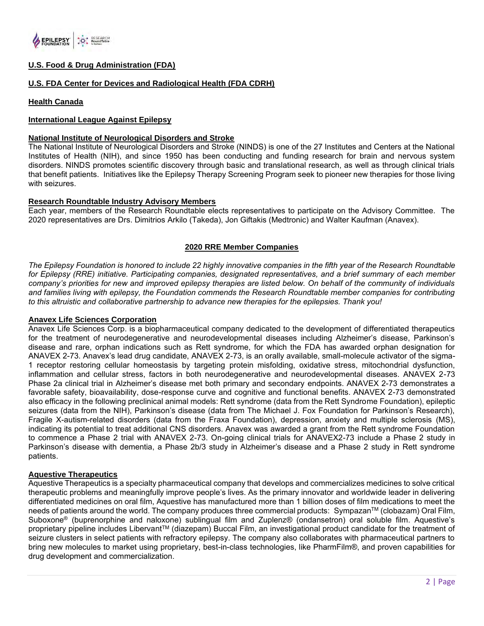

# **U.S. Food & Drug Administration (FDA)**

# **U.S. FDA Center for Devices and Radiological Health (FDA CDRH)**

# **Health Canada**

# **International League Against Epilepsy**

### **National Institute of Neurological Disorders and Stroke**

The National Institute of Neurological Disorders and Stroke (NINDS) is one of the 27 Institutes and Centers at the National Institutes of Health (NIH), and since 1950 has been conducting and funding research for brain and nervous system disorders. NINDS promotes scientific discovery through basic and translational research, as well as through clinical trials that benefit patients. Initiatives like the Epilepsy Therapy Screening Program seek to pioneer new therapies for those living with seizures.

# **Research Roundtable Industry Advisory Members**

Each year, members of the Research Roundtable elects representatives to participate on the Advisory Committee. The 2020 representatives are Drs. Dimitrios Arkilo (Takeda), Jon Giftakis (Medtronic) and Walter Kaufman (Anavex).

# **2020 RRE Member Companies**

*The Epilepsy Foundation is honored to include 22 highly innovative companies in the fifth year of the Research Roundtable for Epilepsy (RRE) initiative. Participating companies, designated representatives, and a brief summary of each member company's priorities for new and improved epilepsy therapies are listed below. On behalf of the community of individuals and families living with epilepsy, the Foundation commends the Research Roundtable member companies for contributing to this altruistic and collaborative partnership to advance new therapies for the epilepsies. Thank you!*

# **Anavex Life Sciences Corporation**

Anavex Life Sciences Corp. is a biopharmaceutical company dedicated to the development of differentiated therapeutics for the treatment of neurodegenerative and neurodevelopmental diseases including Alzheimer's disease, Parkinson's disease and rare, orphan indications such as Rett syndrome, for which the FDA has awarded orphan designation for ANAVEX 2-73. Anavex's lead drug candidate, ANAVEX 2-73, is an orally available, small-molecule activator of the sigma-1 receptor restoring cellular homeostasis by targeting protein misfolding, oxidative stress, mitochondrial dysfunction, inflammation and cellular stress, factors in both neurodegenerative and neurodevelopmental diseases. ANAVEX 2-73 Phase 2a clinical trial in Alzheimer's disease met both primary and secondary endpoints. ANAVEX 2-73 demonstrates a favorable safety, bioavailability, dose-response curve and cognitive and functional benefits. ANAVEX 2-73 demonstrated also efficacy in the following preclinical animal models: Rett syndrome (data from the Rett Syndrome Foundation), epileptic seizures (data from the NIH), Parkinson's disease (data from The Michael J. Fox Foundation for Parkinson's Research), Fragile X-autism-related disorders (data from the Fraxa Foundation), depression, anxiety and multiple sclerosis (MS), indicating its potential to treat additional CNS disorders. Anavex was awarded a grant from the Rett syndrome Foundation to commence a Phase 2 trial with ANAVEX 2-73. On-going clinical trials for ANAVEX2-73 include a Phase 2 study in Parkinson's disease with dementia, a Phase 2b/3 study in Alzheimer's disease and a Phase 2 study in Rett syndrome patients.

# **Aquestive Therapeutics**

Aquestive Therapeutics is a specialty pharmaceutical company that develops and commercializes medicines to solve critical therapeutic problems and meaningfully improve people's lives. As the primary innovator and worldwide leader in delivering differentiated medicines on oral film, Aquestive has manufactured more than 1 billion doses of film medications to meet the needs of patients around the world. The company produces three commercial products: Sympazan™ (clobazam) Oral Film, Suboxone® (buprenorphine and naloxone) sublingual film and Zuplenz® (ondansetron) oral soluble film. Aquestive's proprietary pipeline includes LibervantTM (diazepam) Buccal Film, an investigational product candidate for the treatment of seizure clusters in select patients with refractory epilepsy. The company also collaborates with pharmaceutical partners to bring new molecules to market using proprietary, best-in-class technologies, like PharmFilm®, and proven capabilities for drug development and commercialization.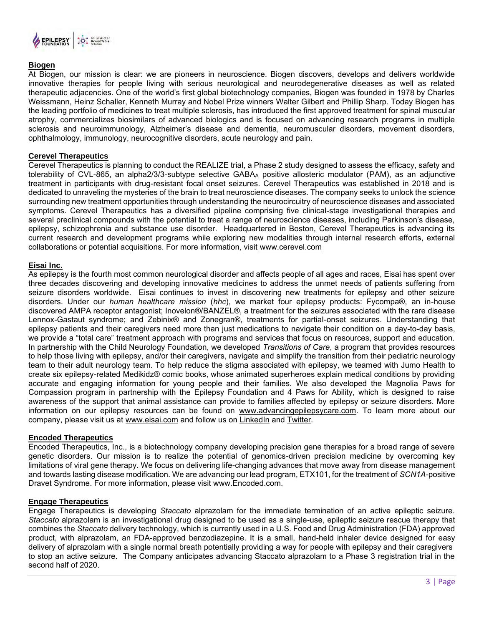

# **Biogen**

At Biogen, our mission is clear: we are pioneers in neuroscience. Biogen discovers, develops and delivers worldwide innovative therapies for people living with serious neurological and neurodegenerative diseases as well as related therapeutic adjacencies. One of the world's first global biotechnology companies, Biogen was founded in 1978 by Charles Weissmann, Heinz Schaller, Kenneth Murray and Nobel Prize winners Walter Gilbert and Phillip Sharp. Today Biogen has the leading portfolio of medicines to treat multiple sclerosis, has introduced the first approved treatment for spinal muscular atrophy, commercializes biosimilars of advanced biologics and is focused on advancing research programs in multiple sclerosis and neuroimmunology, Alzheimer's disease and dementia, neuromuscular disorders, movement disorders, ophthalmology, immunology, neurocognitive disorders, acute neurology and pain.

# **Cerevel Therapeutics**

Cerevel Therapeutics is planning to conduct the REALIZE trial, a Phase 2 study designed to assess the efficacy, safety and tolerability of CVL-865, an alpha2/3/3-subtype selective GABA<sup>A</sup> positive allosteric modulator (PAM), as an adjunctive treatment in participants with drug-resistant focal onset seizures. Cerevel Therapeutics was established in 2018 and is dedicated to unraveling the mysteries of the brain to treat neuroscience diseases. The company seeks to unlock the science surrounding new treatment opportunities through understanding the neurocircuitry of neuroscience diseases and associated symptoms. Cerevel Therapeutics has a diversified pipeline comprising five clinical-stage investigational therapies and several preclinical compounds with the potential to treat a range of neuroscience diseases, including Parkinson's disease, epilepsy, schizophrenia and substance use disorder. Headquartered in Boston, Cerevel Therapeutics is advancing its current research and development programs while exploring new modalities through internal research efforts, external collaborations or potential acquisitions. For more information, visit [www.cerevel.com](https://nam04.safelinks.protection.outlook.com/?url=http%3A%2F%2Fwww.cerevel.com%2F&data=02%7C01%7Crachel.gurrell%40cerevel.com%7C189d265a85d84d03f92608d7f1121ce0%7C342ef7d7ac46480eafc7442b0858a145%7C0%7C0%7C637242932410192637&sdata=W8tn3wY1iQJFSxmaACUMBkzMwQVf57DSqRGcGTNk%2F7I%3D&reserved=0)

# **Eisai Inc.**

As epilepsy is the fourth most common neurological disorder and affects people of all ages and races, Eisai has spent over three decades discovering and developing innovative medicines to address the unmet needs of patients suffering from seizure disorders worldwide. Eisai continues to invest in discovering new treatments for epilepsy and other seizure disorders. Under our *human healthcare mission* (*hhc*), we market four epilepsy products: Fycompa®, an in-house discovered AMPA receptor antagonist; Inovelon®/BANZEL®, a treatment for the seizures associated with the rare disease Lennox-Gastaut syndrome; and Zebinix® and Zonegran®, treatments for partial-onset seizures. Understanding that epilepsy patients and their caregivers need more than just medications to navigate their condition on a day-to-day basis, we provide a "total care" treatment approach with programs and services that focus on resources, support and education. In partnership with the Child Neurology Foundation, we developed *Transitions of Care*, a program that provides resources to help those living with epilepsy, and/or their caregivers, navigate and simplify the transition from their pediatric neurology team to their adult neurology team. To help reduce the stigma associated with epilepsy, we teamed with Jumo Health to create six epilepsy-related Medikidz® comic books, whose animated superheroes explain medical conditions by providing accurate and engaging information for young people and their families. We also developed the Magnolia Paws for Compassion program in partnership with the Epilepsy Foundation and 4 Paws for Ability, which is designed to raise awareness of the support that animal assistance can provide to families affected by epilepsy or seizure disorders. More information on our epilepsy resources can be found on [www.advancingepilepsycare.com.](http://www.advancingepilepsycare.com/) To learn more about our company, please visit us at [www.eisai.com](http://www.eisai.com/) and follow us on [LinkedIn](https://www.linkedin.com/company/eisai/) and [Twitter.](https://twitter.com/EisaiUS/status/974699695787327488)

#### **Encoded Therapeutics**

Encoded Therapeutics, Inc., is a biotechnology company developing precision gene therapies for a broad range of severe genetic disorders. Our mission is to realize the potential of genomics-driven precision medicine by overcoming key limitations of viral gene therapy. We focus on delivering life-changing advances that move away from disease management and towards lasting disease modification. We are advancing our lead program, ETX101, for the treatment of *SCN1A-*positive Dravet Syndrome. For more information, please visit [www.Encoded.com.](http://www.encoded.com/)

# **Engage Therapeutics**

Engage Therapeutics is developing *Staccato* alprazolam for the immediate termination of an active epileptic seizure. *Staccato* alprazolam is an investigational drug designed to be used as a single-use, epileptic seizure rescue therapy that combines the *Staccato* delivery technology, which is currently used in a U.S. Food and Drug Administration (FDA) approved product, with alprazolam, an FDA-approved benzodiazepine. It is a small, hand-held inhaler device designed for easy delivery of alprazolam with a single normal breath potentially providing a way for people with epilepsy and their caregivers to stop an active seizure. The Company anticipates advancing Staccato alprazolam to a Phase 3 registration trial in the second half of 2020.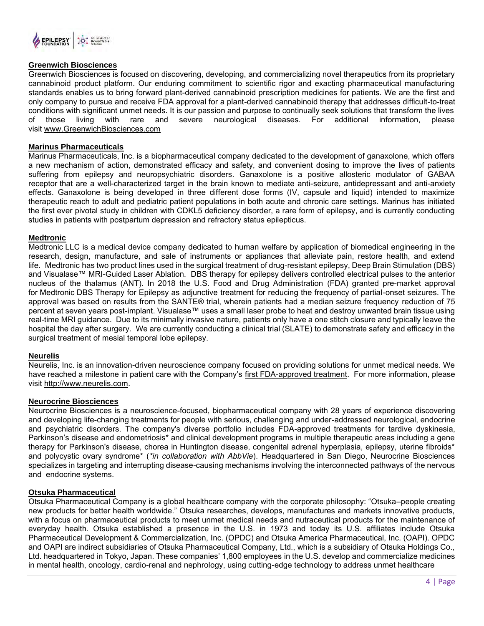

# **Greenwich Biosciences**

Greenwich Biosciences is focused on discovering, developing, and commercializing novel therapeutics from its proprietary cannabinoid product platform. Our enduring commitment to scientific rigor and exacting pharmaceutical manufacturing standards enables us to bring forward plant-derived cannabinoid prescription medicines for patients. We are the first and only company to pursue and receive FDA approval for a plant-derived cannabinoid therapy that addresses difficult-to-treat conditions with significant unmet needs. It is our passion and purpose to continually seek solutions that transform the lives of those living with rare and severe neurological diseases. For additional information, please visit [www.GreenwichBiosciences.com](http://www.greenwichbiosciences.com/)

# **Marinus Pharmaceuticals**

Marinus Pharmaceuticals, Inc. is a biopharmaceutical company dedicated to the development of ganaxolone, which offers a new mechanism of action, demonstrated efficacy and safety, and convenient dosing to improve the lives of patients suffering from epilepsy and neuropsychiatric disorders. Ganaxolone is a positive allosteric modulator of GABAA receptor that are a well-characterized target in the brain known to mediate anti-seizure, antidepressant and anti-anxiety effects. Ganaxolone is being developed in three different dose forms (IV, capsule and liquid) intended to maximize therapeutic reach to adult and pediatric patient populations in both acute and chronic care settings. Marinus has initiated the first ever pivotal study in children with CDKL5 deficiency disorder, a rare form of epilepsy, and is currently conducting studies in patients with postpartum depression and refractory status epilepticus.

# **Medtronic**

Medtronic LLC is a medical device company dedicated to human welfare by application of biomedical engineering in the research, design, manufacture, and sale of instruments or appliances that alleviate pain, restore health, and extend life. Medtronic has two product lines used in the surgical treatment of drug-resistant epilepsy, Deep Brain Stimulation (DBS) and Visualase™ MRI-Guided Laser Ablation. DBS therapy for epilepsy delivers controlled electrical pulses to the anterior nucleus of the thalamus (ANT). In 2018 the U.S. Food and Drug Administration (FDA) granted pre-market approval for Medtronic DBS Therapy for Epilepsy as adjunctive treatment for reducing the frequency of partial-onset seizures. The approval was based on results from the SANTE® trial, wherein patients had a median seizure frequency reduction of 75 percent at seven years post-implant. Visualase™ uses a small laser probe to heat and destroy unwanted brain tissue using real-time MRI guidance. Due to its minimally invasive nature, patients only have a one stitch closure and typically leave the hospital the day after surgery. We are currently conducting a clinical trial (SLATE) to demonstrate safety and efficacy in the surgical treatment of mesial temporal lobe epilepsy.

# **Neurelis**

Neurelis, Inc. is an innovation-driven neuroscience company focused on providing solutions for unmet medical needs. We have reached a milestone in patient care with the Company's [first FDA-approved treatment.](http://www.valtoco.com/) For more information, please visi[t](http://www.neurelis.com/) [http://www.neurelis.com.](http://www.neurelis.com/)

# **Neurocrine Biosciences**

Neurocrine Biosciences is a neuroscience-focused, biopharmaceutical company with 28 years of experience discovering and developing life-changing treatments for people with serious, challenging and under-addressed neurological, endocrine and psychiatric disorders. The company's diverse portfolio includes FDA-approved treatments for tardive dyskinesia, Parkinson's disease and endometriosis\* and clinical development programs in multiple therapeutic areas including a gene therapy for Parkinson's disease, chorea in Huntington disease, congenital adrenal hyperplasia, epilepsy, uterine fibroids\* and polycystic ovary syndrome\* (*\*in collaboration with AbbVie*). Headquartered in San Diego, Neurocrine Biosciences specializes in targeting and interrupting disease-causing mechanisms involving the interconnected pathways of the nervous and endocrine systems.

# **Otsuka Pharmaceutical**

Otsuka Pharmaceutical Company is a global healthcare company with the corporate philosophy: "Otsuka–people creating new products for better health worldwide." Otsuka researches, develops, manufactures and markets innovative products, with a focus on pharmaceutical products to meet unmet medical needs and nutraceutical products for the maintenance of everyday health. Otsuka established a presence in the U.S. in 1973 and today its U.S. affiliates include Otsuka Pharmaceutical Development & Commercialization, Inc. (OPDC) and Otsuka America Pharmaceutical, Inc. (OAPI). OPDC and OAPI are indirect subsidiaries of Otsuka Pharmaceutical Company, Ltd., which is a subsidiary of Otsuka Holdings Co., Ltd. headquartered in Tokyo, Japan. These companies' 1,800 employees in the U.S. develop and commercialize medicines in mental health, oncology, cardio-renal and nephrology, using cutting-edge technology to address unmet healthcare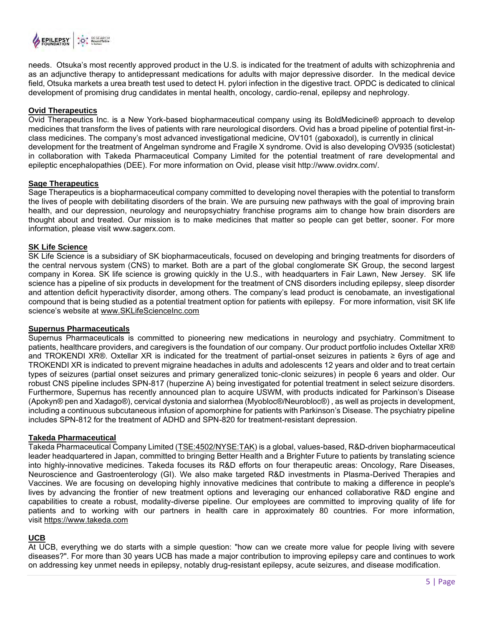

needs. Otsuka's most recently approved product in the U.S. is indicated for the treatment of adults with schizophrenia and as an adjunctive therapy to antidepressant medications for adults with major depressive disorder. In the medical device field, Otsuka markets a urea breath test used to detect H. pylori infection in the digestive tract. OPDC is dedicated to clinical development of promising drug candidates in mental health, oncology, cardio-renal, epilepsy and nephrology.

# **Ovid Therapeutics**

Ovid Therapeutics Inc. is a New York-based biopharmaceutical company using its BoldMedicine® approach to develop medicines that transform the lives of patients with rare neurological disorders. Ovid has a broad pipeline of potential first-inclass medicines. The company's most advanced investigational medicine, OV101 (gaboxadol), is currently in clinical development for the treatment of Angelman syndrome and Fragile X syndrome. Ovid is also developing OV935 (soticlestat) in collaboration with Takeda Pharmaceutical Company Limited for the potential treatment of rare developmental and epileptic encephalopathies (DEE). For more information on Ovid, please visit http://www.ovidrx.com/.

# **Sage Therapeutics**

Sage Therapeutics is a biopharmaceutical company committed to developing novel therapies with the potential to transform the lives of people with debilitating disorders of the brain. We are pursuing new pathways with the goal of improving brain health, and our depression, neurology and neuropsychiatry franchise programs aim to change how brain disorders are thought about and treated. Our mission is to make medicines that matter so people can get better, sooner. For more information, please visit www.sagerx.com.

# **SK Life Science**

SK Life Science is a subsidiary of SK biopharmaceuticals, focused on developing and bringing treatments for disorders of the central nervous system (CNS) to market. Both are a part of the global conglomerate SK Group, the second largest company in Korea. SK life science is growing quickly in the U.S., with headquarters in Fair Lawn, New Jersey. SK life science has a pipeline of six products in development for the treatment of CNS disorders including epilepsy, sleep disorder and attention deficit hyperactivity disorder, among others. The company's lead product is cenobamate, an investigational compound that is being studied as a potential treatment option for patients with epilepsy. For more information, visit SK life science's website at [www.SKLifeScienceInc.com](http://www.sklifescienceinc.com/)

# **Supernus Pharmaceuticals**

Supernus Pharmaceuticals is committed to pioneering new medications in neurology and psychiatry. Commitment to patients, healthcare providers, and caregivers is the foundation of our company. Our product portfolio includes Oxtellar XR® and TROKENDI XR®. Oxtellar XR is indicated for the treatment of partial-onset seizures in patients ≥ 6yrs of age and TROKENDI XR is indicated to prevent migraine headaches in adults and adolescents 12 years and older and to treat certain types of seizures (partial onset seizures and primary generalized tonic-clonic seizures) in people 6 years and older. Our robust CNS pipeline includes SPN-817 (huperzine A) being investigated for potential treatment in select seizure disorders. Furthermore, Supernus has recently announced plan to acquire USWM, with products indicated for Parkinson's Disease (Apokyn® pen and Xadago®), cervical dystonia and sialorrhea (Myobloc®/Neurobloc®) , as well as projects in development, including a continuous subcutaneous infusion of apomorphine for patients with Parkinson's Disease. The psychiatry pipeline includes SPN-812 for the treatment of ADHD and SPN-820 for treatment-resistant depression.

# **Takeda Pharmaceutical**

Takeda Pharmaceutical Company Limited [\(TSE:4502/NYSE:TAK\)](https://www.takeda.com/investors/) is a global, values-based, R&D-driven biopharmaceutical leader headquartered in Japan, committed to bringing Better Health and a Brighter Future to patients by translating science into highly-innovative medicines. Takeda focuses its R&D efforts on four therapeutic areas: Oncology, Rare Diseases, Neuroscience and Gastroenterology (GI). We also make targeted R&D investments in Plasma-Derived Therapies and Vaccines. We are focusing on developing highly innovative medicines that contribute to making a difference in people's lives by advancing the frontier of new treatment options and leveraging our enhanced collaborative R&D engine and capabilities to create a robust, modality-diverse pipeline. Our employees are committed to improving quality of life for patients and to working with our partners in health care in approximately 80 countries. For more information, visit [https://www.takeda.com](https://www.takeda.com/)

# **UCB**

At UCB, everything we do starts with a simple question: "how can we create more value for people living with severe diseases?". For more than 30 years UCB has made a major contribution to improving epilepsy care and continues to work on addressing key unmet needs in epilepsy, notably drug-resistant epilepsy, acute seizures, and disease modification.